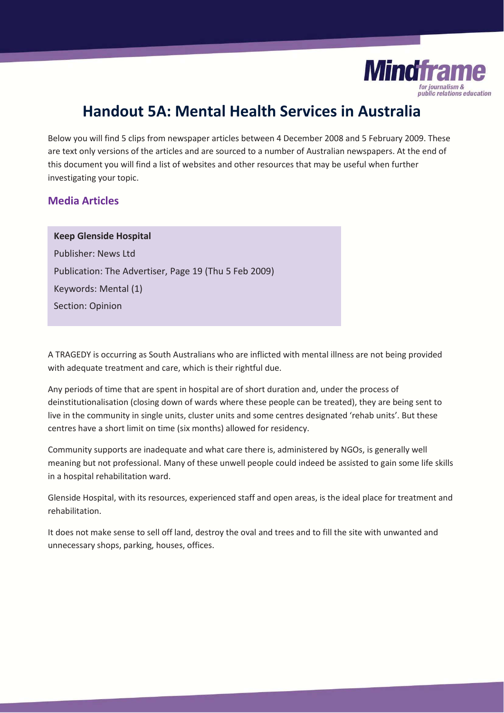

## **Handout 5A: Mental Health Services in Australia**

Below you will find 5 clips from newspaper articles between 4 December 2008 and 5 February 2009. These are text only versions of the articles and are sourced to a number of Australian newspapers. At the end of this document you will find a list of websites and other resources that may be useful when further investigating your topic.

## **Media Articles**

# **Keep Glenside Hospital**

Publisher: News Ltd Publication: The Advertiser, Page 19 (Thu 5 Feb 2009) Keywords: Mental (1) Section: Opinion

A TRAGEDY is occurring as South Australians who are inflicted with mental illness are not being provided with adequate treatment and care, which is their rightful due.

Any periods of time that are spent in hospital are of short duration and, under the process of deinstitutionalisation (closing down of wards where these people can be treated), they are being sent to live in the community in single units, cluster units and some centres designated 'rehab units'. But these centres have a short limit on time (six months) allowed for residency.

Community supports are inadequate and what care there is, administered by NGOs, is generally well meaning but not professional. Many of these unwell people could indeed be assisted to gain some life skills in a hospital rehabilitation ward.

Glenside Hospital, with its resources, experienced staff and open areas, is the ideal place for treatment and rehabilitation.

It does not make sense to sell off land, destroy the oval and trees and to fill the site with unwanted and unnecessary shops, parking, houses, offices.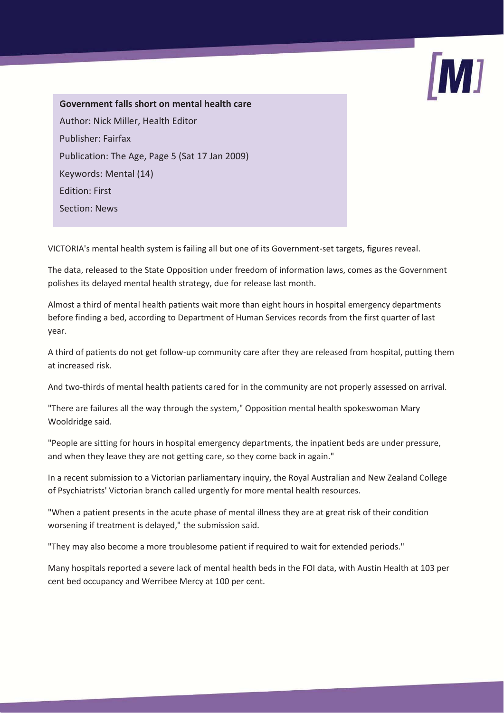

**Government falls short on mental health care**  Author: Nick Miller, Health Editor Publisher: Fairfax Publication: The Age, Page 5 (Sat 17 Jan 2009) Keywords: Mental (14) Edition: First Section: News

VICTORIA's mental health system is failing all but one of its Government-set targets, figures reveal.

The data, released to the State Opposition under freedom of information laws, comes as the Government polishes its delayed mental health strategy, due for release last month.

Almost a third of mental health patients wait more than eight hours in hospital emergency departments before finding a bed, according to Department of Human Services records from the first quarter of last year.

A third of patients do not get follow-up community care after they are released from hospital, putting them at increased risk.

And two-thirds of mental health patients cared for in the community are not properly assessed on arrival.

"There are failures all the way through the system," Opposition mental health spokeswoman Mary Wooldridge said.

"People are sitting for hours in hospital emergency departments, the inpatient beds are under pressure, and when they leave they are not getting care, so they come back in again."

In a recent submission to a Victorian parliamentary inquiry, the Royal Australian and New Zealand College of Psychiatrists' Victorian branch called urgently for more mental health resources.

"When a patient presents in the acute phase of mental illness they are at great risk of their condition worsening if treatment is delayed," the submission said.

"They may also become a more troublesome patient if required to wait for extended periods."

Many hospitals reported a severe lack of mental health beds in the FOI data, with Austin Health at 103 per cent bed occupancy and Werribee Mercy at 100 per cent.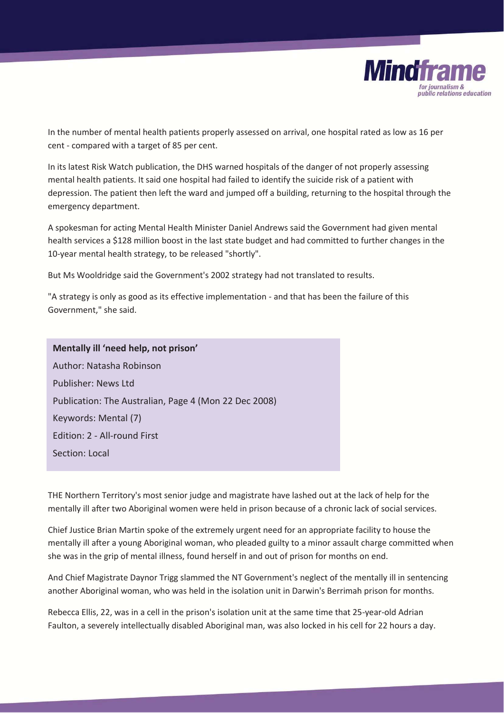

In the number of mental health patients properly assessed on arrival, one hospital rated as low as 16 per cent - compared with a target of 85 per cent.

In its latest Risk Watch publication, the DHS warned hospitals of the danger of not properly assessing mental health patients. It said one hospital had failed to identify the suicide risk of a patient with depression. The patient then left the ward and jumped off a building, returning to the hospital through the emergency department.

A spokesman for acting Mental Health Minister Daniel Andrews said the Government had given mental health services a \$128 million boost in the last state budget and had committed to further changes in the 10-year mental health strategy, to be released "shortly".

But Ms Wooldridge said the Government's 2002 strategy had not translated to results.

"A strategy is only as good as its effective implementation - and that has been the failure of this Government," she said.

**Mentally ill 'need help, not prison'**  Author: Natasha Robinson Publisher: News Ltd Publication: The Australian, Page 4 (Mon 22 Dec 2008) Keywords: Mental (7) Edition: 2 - All-round First Section: Local

THE Northern Territory's most senior judge and magistrate have lashed out at the lack of help for the mentally ill after two Aboriginal women were held in prison because of a chronic lack of social services.

Chief Justice Brian Martin spoke of the extremely urgent need for an appropriate facility to house the mentally ill after a young Aboriginal woman, who pleaded guilty to a minor assault charge committed when she was in the grip of mental illness, found herself in and out of prison for months on end.

And Chief Magistrate Daynor Trigg slammed the NT Government's neglect of the mentally ill in sentencing another Aboriginal woman, who was held in the isolation unit in Darwin's Berrimah prison for months.

Rebecca Ellis, 22, was in a cell in the prison's isolation unit at the same time that 25-year-old Adrian Faulton, a severely intellectually disabled Aboriginal man, was also locked in his cell for 22 hours a day.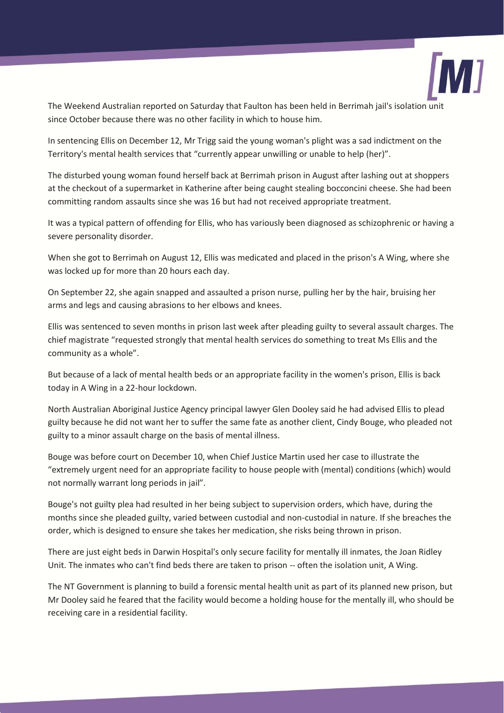

The Weekend Australian reported on Saturday that Faulton has been held in Berrimah jail's isolation unit since October because there was no other facility in which to house him.

In sentencing Ellis on December 12, Mr Trigg said the young woman's plight was a sad indictment on the Territory's mental health services that "currently appear unwilling or unable to help (her)".

The disturbed young woman found herself back at Berrimah prison in August after lashing out at shoppers at the checkout of a supermarket in Katherine after being caught stealing bocconcini cheese. She had been committing random assaults since she was 16 but had not received appropriate treatment.

It was a typical pattern of offending for Ellis, who has variously been diagnosed as schizophrenic or having a severe personality disorder.

When she got to Berrimah on August 12, Ellis was medicated and placed in the prison's A Wing, where she was locked up for more than 20 hours each day.

On September 22, she again snapped and assaulted a prison nurse, pulling her by the hair, bruising her arms and legs and causing abrasions to her elbows and knees.

Ellis was sentenced to seven months in prison last week after pleading guilty to several assault charges. The chief magistrate "requested strongly that mental health services do something to treat Ms Ellis and the community as a whole".

But because of a lack of mental health beds or an appropriate facility in the women's prison, Ellis is back today in A Wing in a 22-hour lockdown.

North Australian Aboriginal Justice Agency principal lawyer Glen Dooley said he had advised Ellis to plead guilty because he did not want her to suffer the same fate as another client, Cindy Bouge, who pleaded not guilty to a minor assault charge on the basis of mental illness.

Bouge was before court on December 10, when Chief Justice Martin used her case to illustrate the "extremely urgent need for an appropriate facility to house people with (mental) conditions (which) would not normally warrant long periods in jail".

Bouge's not guilty plea had resulted in her being subject to supervision orders, which have, during the months since she pleaded guilty, varied between custodial and non-custodial in nature. If she breaches the order, which is designed to ensure she takes her medication, she risks being thrown in prison.

There are just eight beds in Darwin Hospital's only secure facility for mentally ill inmates, the Joan Ridley Unit. The inmates who can't find beds there are taken to prison -- often the isolation unit, A Wing.

The NT Government is planning to build a forensic mental health unit as part of its planned new prison, but Mr Dooley said he feared that the facility would become a holding house for the mentally ill, who should be receiving care in a residential facility.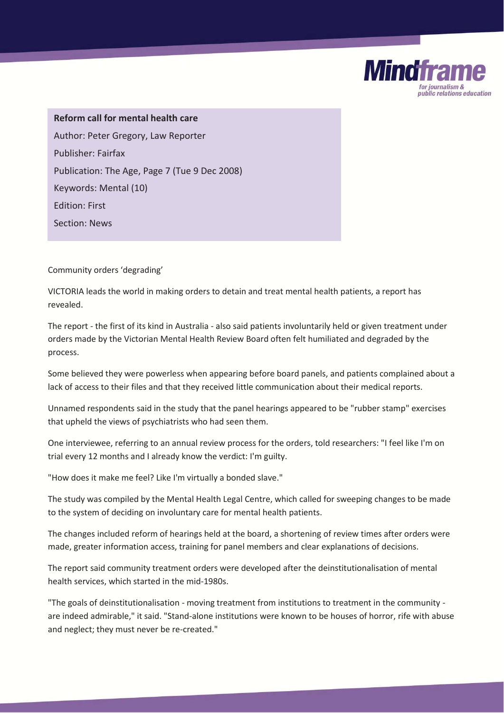**Reform call for mental health care**  Author: Peter Gregory, Law Reporter Publisher: Fairfax Publication: The Age, Page 7 (Tue 9 Dec 2008) Keywords: Mental (10) Edition: First Section: News

Community orders 'degrading'

VICTORIA leads the world in making orders to detain and treat mental health patients, a report has revealed.

The report - the first of its kind in Australia - also said patients involuntarily held or given treatment under orders made by the Victorian Mental Health Review Board often felt humiliated and degraded by the process.

**Mindfra** 

ublic relations education

Some believed they were powerless when appearing before board panels, and patients complained about a lack of access to their files and that they received little communication about their medical reports.

Unnamed respondents said in the study that the panel hearings appeared to be "rubber stamp" exercises that upheld the views of psychiatrists who had seen them.

One interviewee, referring to an annual review process for the orders, told researchers: "I feel like I'm on trial every 12 months and I already know the verdict: I'm guilty.

"How does it make me feel? Like I'm virtually a bonded slave."

The study was compiled by the Mental Health Legal Centre, which called for sweeping changes to be made to the system of deciding on involuntary care for mental health patients.

The changes included reform of hearings held at the board, a shortening of review times after orders were made, greater information access, training for panel members and clear explanations of decisions.

The report said community treatment orders were developed after the deinstitutionalisation of mental health services, which started in the mid-1980s.

"The goals of deinstitutionalisation - moving treatment from institutions to treatment in the community are indeed admirable," it said. "Stand-alone institutions were known to be houses of horror, rife with abuse and neglect; they must never be re-created."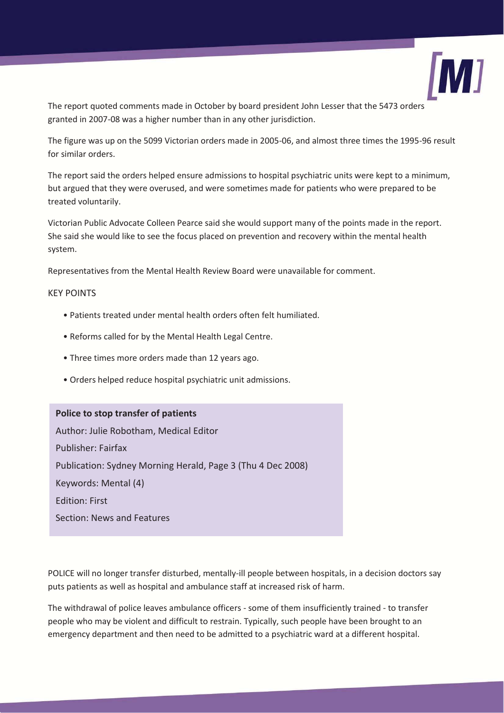

The report quoted comments made in October by board president John Lesser that the 5473 orders granted in 2007-08 was a higher number than in any other jurisdiction.

The figure was up on the 5099 Victorian orders made in 2005-06, and almost three times the 1995-96 result for similar orders.

The report said the orders helped ensure admissions to hospital psychiatric units were kept to a minimum, but argued that they were overused, and were sometimes made for patients who were prepared to be treated voluntarily.

Victorian Public Advocate Colleen Pearce said she would support many of the points made in the report. She said she would like to see the focus placed on prevention and recovery within the mental health system.

Representatives from the Mental Health Review Board were unavailable for comment.

#### KEY POINTS

- Patients treated under mental health orders often felt humiliated.
- Reforms called for by the Mental Health Legal Centre.
- Three times more orders made than 12 years ago.
- Orders helped reduce hospital psychiatric unit admissions.

**Police to stop transfer of patients**  Author: Julie Robotham, Medical Editor Publisher: Fairfax Publication: Sydney Morning Herald, Page 3 (Thu 4 Dec 2008) Keywords: Mental (4) Edition: First Section: News and Features

POLICE will no longer transfer disturbed, mentally-ill people between hospitals, in a decision doctors say puts patients as well as hospital and ambulance staff at increased risk of harm.

The withdrawal of police leaves ambulance officers - some of them insufficiently trained - to transfer people who may be violent and difficult to restrain. Typically, such people have been brought to an emergency department and then need to be admitted to a psychiatric ward at a different hospital.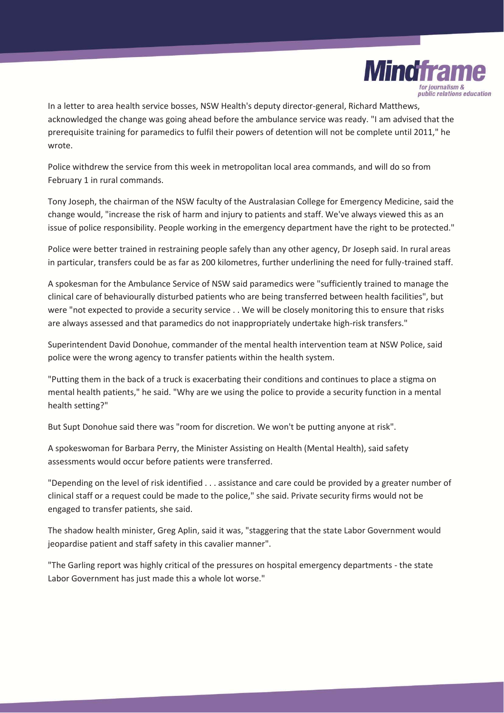

In a letter to area health service bosses, NSW Health's deputy director-general, Richard Matthews, acknowledged the change was going ahead before the ambulance service was ready. "I am advised that the prerequisite training for paramedics to fulfil their powers of detention will not be complete until 2011," he wrote.

Police withdrew the service from this week in metropolitan local area commands, and will do so from February 1 in rural commands.

Tony Joseph, the chairman of the NSW faculty of the Australasian College for Emergency Medicine, said the change would, "increase the risk of harm and injury to patients and staff. We've always viewed this as an issue of police responsibility. People working in the emergency department have the right to be protected."

Police were better trained in restraining people safely than any other agency, Dr Joseph said. In rural areas in particular, transfers could be as far as 200 kilometres, further underlining the need for fully-trained staff.

A spokesman for the Ambulance Service of NSW said paramedics were "sufficiently trained to manage the clinical care of behaviourally disturbed patients who are being transferred between health facilities", but were "not expected to provide a security service . . We will be closely monitoring this to ensure that risks are always assessed and that paramedics do not inappropriately undertake high-risk transfers."

Superintendent David Donohue, commander of the mental health intervention team at NSW Police, said police were the wrong agency to transfer patients within the health system.

"Putting them in the back of a truck is exacerbating their conditions and continues to place a stigma on mental health patients," he said. "Why are we using the police to provide a security function in a mental health setting?"

But Supt Donohue said there was "room for discretion. We won't be putting anyone at risk".

A spokeswoman for Barbara Perry, the Minister Assisting on Health (Mental Health), said safety assessments would occur before patients were transferred.

"Depending on the level of risk identified . . . assistance and care could be provided by a greater number of clinical staff or a request could be made to the police," she said. Private security firms would not be engaged to transfer patients, she said.

The shadow health minister, Greg Aplin, said it was, "staggering that the state Labor Government would jeopardise patient and staff safety in this cavalier manner".

"The Garling report was highly critical of the pressures on hospital emergency departments - the state Labor Government has just made this a whole lot worse."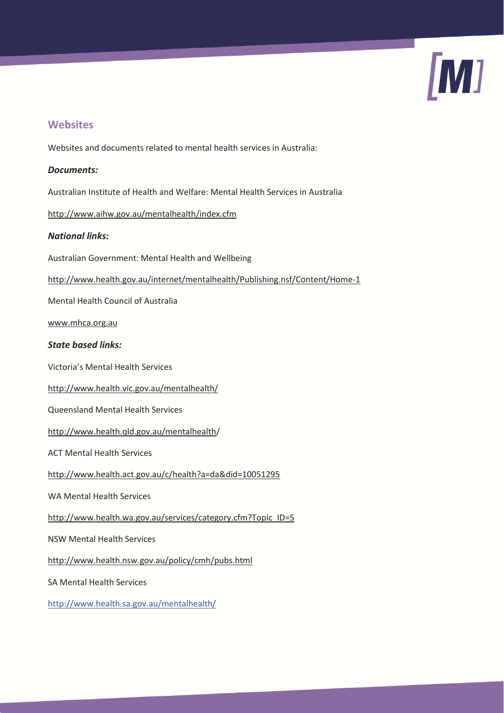

## **Websites**

Websites and documents related to mental health services in Australia:

#### *Documents:*

Australian Institute of Health and Welfare: Mental Health Services in Australia

http://www.aihw.gov.au/mentalhealth/index.cfm

### *National links:*

Australian Government: Mental Health and Wellbeing

http://www.health.gov.au/internet/mentalhealth/Publishing.nsf/Content/Home-1

Mental Health Council of Australia

www.mhca.org.au

### *State based links:*

Victoria's Mental Health Services

http://www.health.vic.gov.au/mentalhealth/

Queensland Mental Health Services

http://www.health.qld.gov.au/mentalhealth/

ACT Mental Health Services

http://www.health.act.gov.au/c/health?a=da&did=10051295

WA Mental Health Services

http://www.health.wa.gov.au/services/category.cfm?Topic\_ID=5

NSW Mental Health Services

http://www.health.nsw.gov.au/policy/cmh/pubs.html

SA Mental Health Services

http://www.health.sa.gov.au/mentalhealth/